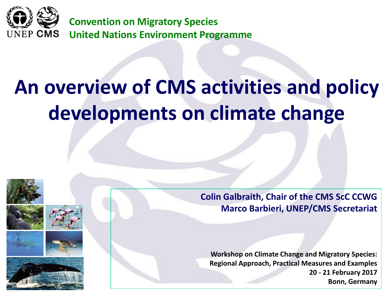

# **An overview of CMS activities and policy developments on climate change**









**Colin Galbraith, Chair of the CMS ScC CCWG Marco Barbieri, UNEP/CMS Secretariat**

**Workshop on Climate Change and Migratory Species: Regional Approach, Practical Measures and Examples 20 - 21 February 2017 Bonn, Germany**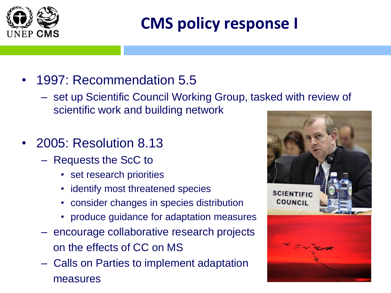

# **CMS policy response I**

- 1997: Recommendation 5.5
	- set up Scientific Council Working Group, tasked with review of scientific work and building network
- 2005: Resolution 8.13
	- Requests the ScC to
		- set research priorities
		- identify most threatened species
		- consider changes in species distribution
		- produce guidance for adaptation measures
	- encourage collaborative research projects on the effects of CC on MS
	- Calls on Parties to implement adaptation measures

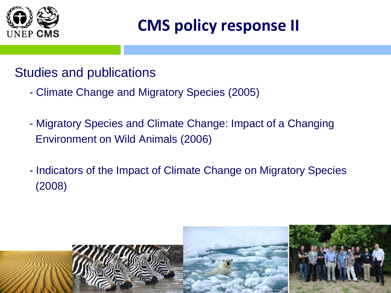

### **CMS policy response II**

#### Studies and publications

- Climate Change and Migratory Species (2005)
- Migratory Species and Climate Change: Impact of a Changing Environment on Wild Animals (2006)
- Indicators of the Impact of Climate Change on Migratory Species (2008)

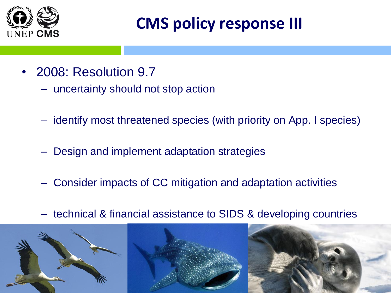

### **CMS policy response III**

- 2008: Resolution 9.7
	- uncertainty should not stop action
	- identify most threatened species (with priority on App. I species)
	- Design and implement adaptation strategies
	- Consider impacts of CC mitigation and adaptation activities
	- technical & financial assistance to SIDS & developing countries

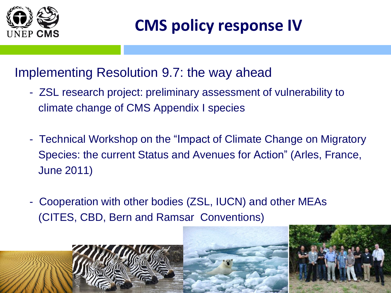

### **CMS policy response IV**

#### Implementing Resolution 9.7: the way ahead

- ZSL research project: preliminary assessment of vulnerability to climate change of CMS Appendix I species
- Technical Workshop on the "Impact of Climate Change on Migratory Species: the current Status and Avenues for Action" (Arles, France, June 2011)
- Cooperation with other bodies (ZSL, IUCN) and other MEAs (CITES, CBD, Bern and Ramsar Conventions)

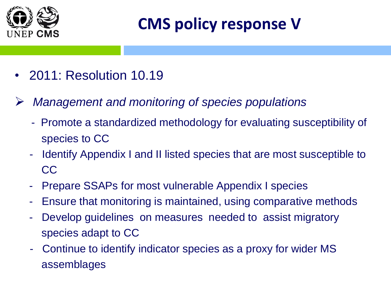

# **CMS policy response V**

- 2011: Resolution 10.19
- *Management and monitoring of species populations* 
	- Promote a standardized methodology for evaluating susceptibility of species to CC
	- Identify Appendix I and II listed species that are most susceptible to CC
	- Prepare SSAPs for most vulnerable Appendix I species
	- Ensure that monitoring is maintained, using comparative methods
	- Develop guidelines on measures needed to assist migratory species adapt to CC
	- Continue to identify indicator species as a proxy for wider MS assemblages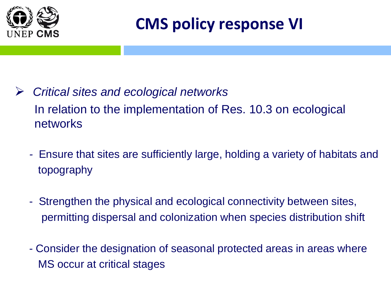

### **CMS policy response VI**

- *Critical sites and ecological networks*  In relation to the implementation of Res. 10.3 on ecological networks
	- *-* Ensure that sites are sufficiently large, holding a variety of habitats and topography
	- Strengthen the physical and ecological connectivity between sites, permitting dispersal and colonization when species distribution shift
	- Consider the designation of seasonal protected areas in areas where MS occur at critical stages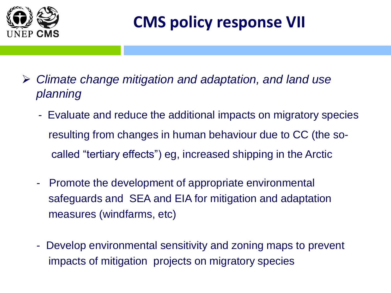

# **CMS policy response VII**

- *Climate change mitigation and adaptation, and land use planning*
	- Evaluate and reduce the additional impacts on migratory species resulting from changes in human behaviour due to CC (the socalled "tertiary effects") eg, increased shipping in the Arctic
	- Promote the development of appropriate environmental safeguards and SEA and EIA for mitigation and adaptation measures (windfarms, etc)
	- Develop environmental sensitivity and zoning maps to prevent impacts of mitigation projects on migratory species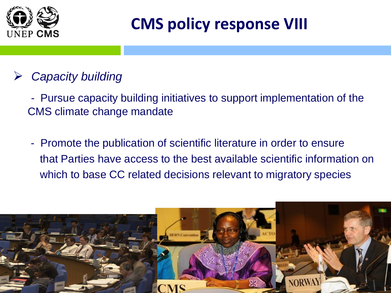

### **CMS policy response VIII**

#### *Capacity building*

- Pursue capacity building initiatives to support implementation of the CMS climate change mandate

- Promote the publication of scientific literature in order to ensure that Parties have access to the best available scientific information on which to base CC related decisions relevant to migratory species

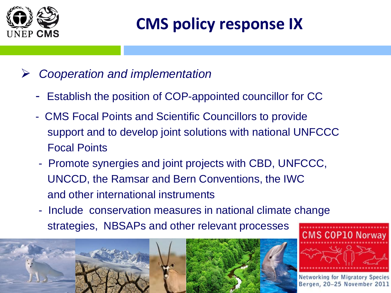

# **CMS policy response IX**

- *Cooperation and implementation*
	- Establish the position of COP-appointed councillor for CC
	- CMS Focal Points and Scientific Councillors to provide support and to develop joint solutions with national UNFCCC Focal Points
	- Promote synergies and joint projects with CBD, UNFCCC, UNCCD, the Ramsar and Bern Conventions, the IWC and other international instruments
	- Include conservation measures in national climate change strategies, NBSAPs and other relevant processes **CMS COP10 Norway**

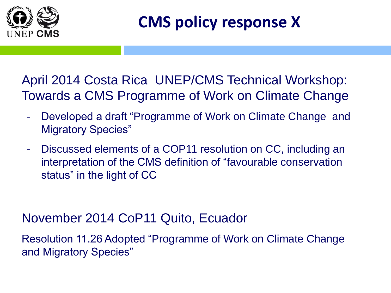

**CMS policy response X** 

April 2014 Costa Rica UNEP/CMS Technical Workshop: Towards a CMS Programme of Work on Climate Change

- Developed a draft "Programme of Work on Climate Change and Migratory Species"
- Discussed elements of a COP11 resolution on CC, including an interpretation of the CMS definition of "favourable conservation status" in the light of CC

November 2014 CoP11 Quito, Ecuador

Resolution 11.26 Adopted "Programme of Work on Climate Change and Migratory Species"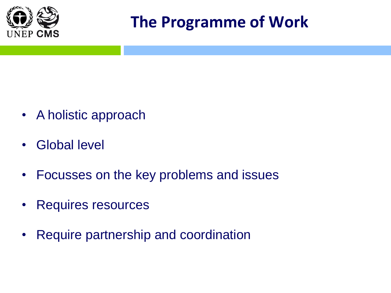

#### **The Programme of Work**

- A holistic approach
- Global level
- Focusses on the key problems and issues
- Requires resources
- Require partnership and coordination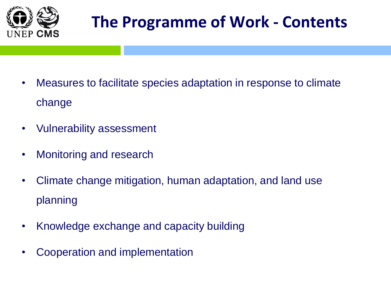

# **The Programme of Work - Contents**

- Measures to facilitate species adaptation in response to climate change
- Vulnerability assessment
- Monitoring and research
- Climate change mitigation, human adaptation, and land use planning
- Knowledge exchange and capacity building
- Cooperation and implementation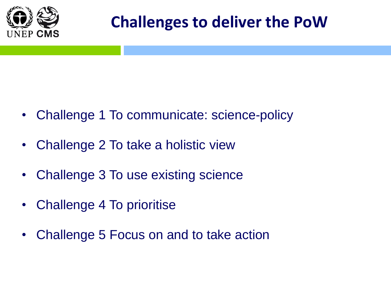

#### **Challenges to deliver the PoW**

- Challenge 1 To communicate: science-policy
- Challenge 2 To take a holistic view
- Challenge 3 To use existing science
- Challenge 4 To prioritise
- Challenge 5 Focus on and to take action